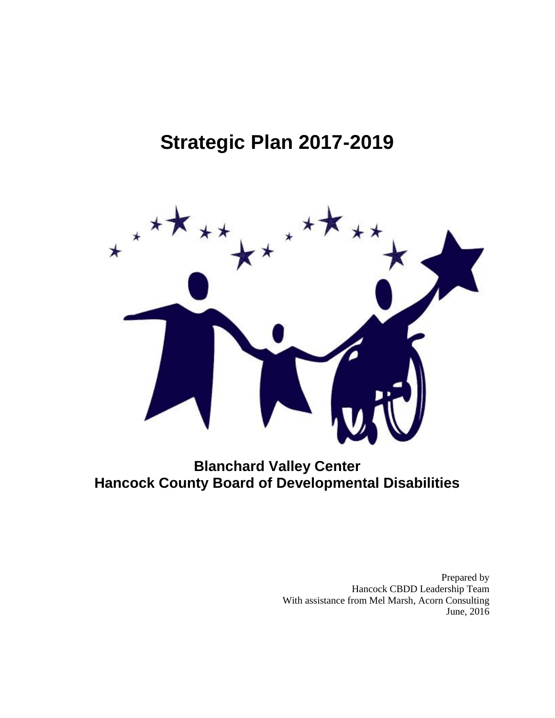# **Strategic Plan 2017-2019**



# **Blanchard Valley Center Hancock County Board of Developmental Disabilities**

Prepared by Hancock CBDD Leadership Team With assistance from Mel Marsh, Acorn Consulting June, 2016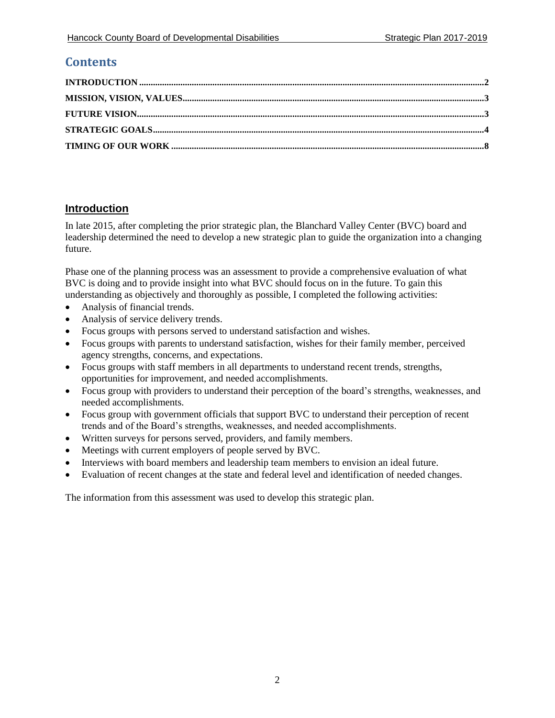# **Contents**

# <span id="page-1-0"></span>**Introduction**

In late 2015, after completing the prior strategic plan, the Blanchard Valley Center (BVC) board and leadership determined the need to develop a new strategic plan to guide the organization into a changing future.

Phase one of the planning process was an assessment to provide a comprehensive evaluation of what BVC is doing and to provide insight into what BVC should focus on in the future. To gain this understanding as objectively and thoroughly as possible, I completed the following activities:

- Analysis of financial trends.
- Analysis of service delivery trends.
- Focus groups with persons served to understand satisfaction and wishes.
- Focus groups with parents to understand satisfaction, wishes for their family member, perceived agency strengths, concerns, and expectations.
- Focus groups with staff members in all departments to understand recent trends, strengths, opportunities for improvement, and needed accomplishments.
- Focus group with providers to understand their perception of the board's strengths, weaknesses, and needed accomplishments.
- Focus group with government officials that support BVC to understand their perception of recent trends and of the Board's strengths, weaknesses, and needed accomplishments.
- Written surveys for persons served, providers, and family members.
- Meetings with current employers of people served by BVC.
- Interviews with board members and leadership team members to envision an ideal future.
- Evaluation of recent changes at the state and federal level and identification of needed changes.

The information from this assessment was used to develop this strategic plan.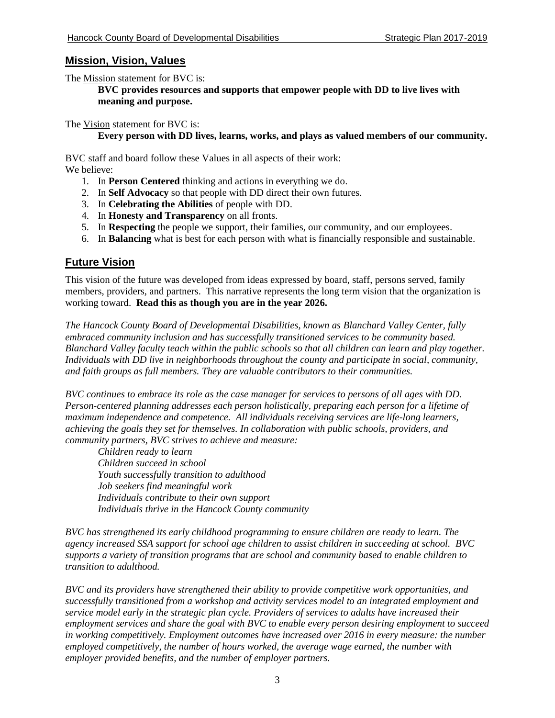#### <span id="page-2-0"></span>**Mission, Vision, Values**

The Mission statement for BVC is:

**BVC provides resources and supports that empower people with DD to live lives with meaning and purpose.**

The Vision statement for BVC is:

#### **Every person with DD lives, learns, works, and plays as valued members of our community.**

BVC staff and board follow these Values in all aspects of their work: We believe:

- 1. In **Person Centered** thinking and actions in everything we do.
- 2. In **Self Advocacy** so that people with DD direct their own futures.
- 3. In **Celebrating the Abilities** of people with DD.
- 4. In **Honesty and Transparency** on all fronts.
- 5. In **Respecting** the people we support, their families, our community, and our employees.
- 6. In **Balancing** what is best for each person with what is financially responsible and sustainable.

# <span id="page-2-1"></span>**Future Vision**

This vision of the future was developed from ideas expressed by board, staff, persons served, family members, providers, and partners. This narrative represents the long term vision that the organization is working toward. **Read this as though you are in the year 2026.**

*The Hancock County Board of Developmental Disabilities, known as Blanchard Valley Center, fully embraced community inclusion and has successfully transitioned services to be community based. Blanchard Valley faculty teach within the public schools so that all children can learn and play together. Individuals with DD live in neighborhoods throughout the county and participate in social, community, and faith groups as full members. They are valuable contributors to their communities.*

*BVC continues to embrace its role as the case manager for services to persons of all ages with DD. Person-centered planning addresses each person holistically, preparing each person for a lifetime of maximum independence and competence. All individuals receiving services are life-long learners, achieving the goals they set for themselves. In collaboration with public schools, providers, and community partners, BVC strives to achieve and measure:*

*Children ready to learn Children succeed in school Youth successfully transition to adulthood Job seekers find meaningful work Individuals contribute to their own support Individuals thrive in the Hancock County community*

*BVC has strengthened its early childhood programming to ensure children are ready to learn. The agency increased SSA support for school age children to assist children in succeeding at school. BVC supports a variety of transition programs that are school and community based to enable children to transition to adulthood.*

*BVC and its providers have strengthened their ability to provide competitive work opportunities, and successfully transitioned from a workshop and activity services model to an integrated employment and service model early in the strategic plan cycle. Providers of services to adults have increased their employment services and share the goal with BVC to enable every person desiring employment to succeed in working competitively. Employment outcomes have increased over 2016 in every measure: the number employed competitively, the number of hours worked, the average wage earned, the number with employer provided benefits, and the number of employer partners.*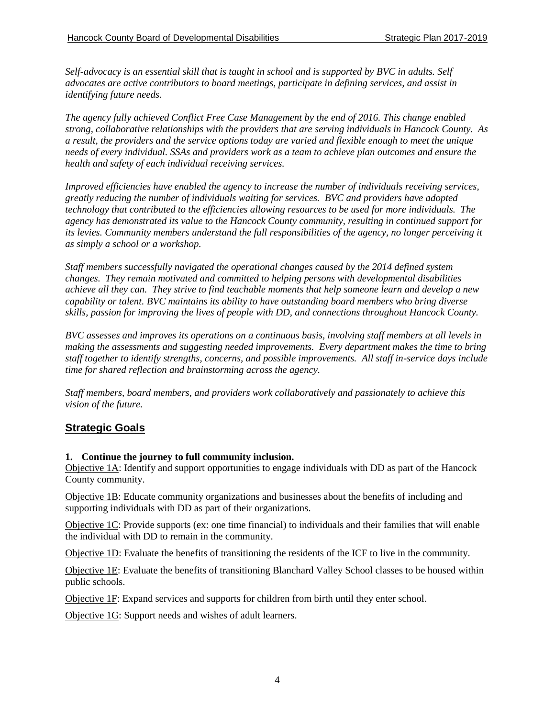*Self-advocacy is an essential skill that is taught in school and is supported by BVC in adults. Self advocates are active contributors to board meetings, participate in defining services, and assist in identifying future needs.* 

*The agency fully achieved Conflict Free Case Management by the end of 2016. This change enabled strong, collaborative relationships with the providers that are serving individuals in Hancock County. As a result, the providers and the service options today are varied and flexible enough to meet the unique needs of every individual. SSAs and providers work as a team to achieve plan outcomes and ensure the health and safety of each individual receiving services.*

*Improved efficiencies have enabled the agency to increase the number of individuals receiving services, greatly reducing the number of individuals waiting for services. BVC and providers have adopted technology that contributed to the efficiencies allowing resources to be used for more individuals. The agency has demonstrated its value to the Hancock County community, resulting in continued support for its levies. Community members understand the full responsibilities of the agency, no longer perceiving it as simply a school or a workshop.*

*Staff members successfully navigated the operational changes caused by the 2014 defined system changes. They remain motivated and committed to helping persons with developmental disabilities achieve all they can. They strive to find teachable moments that help someone learn and develop a new capability or talent. BVC maintains its ability to have outstanding board members who bring diverse skills, passion for improving the lives of people with DD, and connections throughout Hancock County.*

*BVC assesses and improves its operations on a continuous basis, involving staff members at all levels in making the assessments and suggesting needed improvements. Every department makes the time to bring staff together to identify strengths, concerns, and possible improvements. All staff in-service days include time for shared reflection and brainstorming across the agency.*

*Staff members, board members, and providers work collaboratively and passionately to achieve this vision of the future.* 

# <span id="page-3-0"></span>**Strategic Goals**

#### **1. Continue the journey to full community inclusion.**

Objective 1A: Identify and support opportunities to engage individuals with DD as part of the Hancock County community.

Objective 1B: Educate community organizations and businesses about the benefits of including and supporting individuals with DD as part of their organizations.

Objective 1C: Provide supports (ex: one time financial) to individuals and their families that will enable the individual with DD to remain in the community.

Objective 1D: Evaluate the benefits of transitioning the residents of the ICF to live in the community.

Objective 1E: Evaluate the benefits of transitioning Blanchard Valley School classes to be housed within public schools.

Objective 1F: Expand services and supports for children from birth until they enter school.

Objective 1G: Support needs and wishes of adult learners.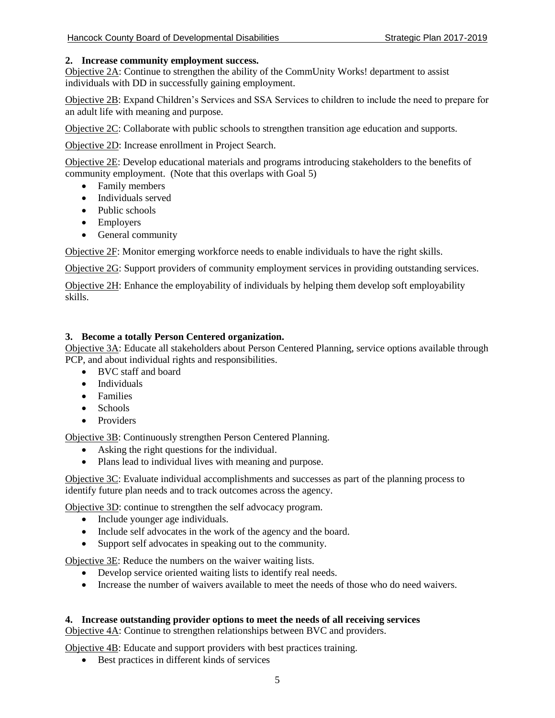#### **2. Increase community employment success.**

Objective 2A: Continue to strengthen the ability of the CommUnity Works! department to assist individuals with DD in successfully gaining employment.

Objective 2B: Expand Children's Services and SSA Services to children to include the need to prepare for an adult life with meaning and purpose.

Objective 2C: Collaborate with public schools to strengthen transition age education and supports.

Objective 2D: Increase enrollment in Project Search.

Objective 2E: Develop educational materials and programs introducing stakeholders to the benefits of community employment. (Note that this overlaps with Goal 5)

- Family members
- Individuals served
- Public schools
- Employers
- General community

Objective 2F: Monitor emerging workforce needs to enable individuals to have the right skills.

Objective 2G: Support providers of community employment services in providing outstanding services.

Objective 2H: Enhance the employability of individuals by helping them develop soft employability skills.

#### **3. Become a totally Person Centered organization.**

Objective 3A: Educate all stakeholders about Person Centered Planning, service options available through PCP, and about individual rights and responsibilities.

- BVC staff and board
- Individuals
- Families
- Schools
- Providers

Objective 3B: Continuously strengthen Person Centered Planning.

- Asking the right questions for the individual.
- Plans lead to individual lives with meaning and purpose.

Objective 3C: Evaluate individual accomplishments and successes as part of the planning process to identify future plan needs and to track outcomes across the agency.

Objective 3D: continue to strengthen the self advocacy program.

- Include younger age individuals.
- Include self advocates in the work of the agency and the board.
- Support self advocates in speaking out to the community.

Objective 3E: Reduce the numbers on the waiver waiting lists.

- Develop service oriented waiting lists to identify real needs.
- Increase the number of waivers available to meet the needs of those who do need waivers.

#### **4. Increase outstanding provider options to meet the needs of all receiving services**

Objective 4A: Continue to strengthen relationships between BVC and providers.

Objective 4B: Educate and support providers with best practices training.

Best practices in different kinds of services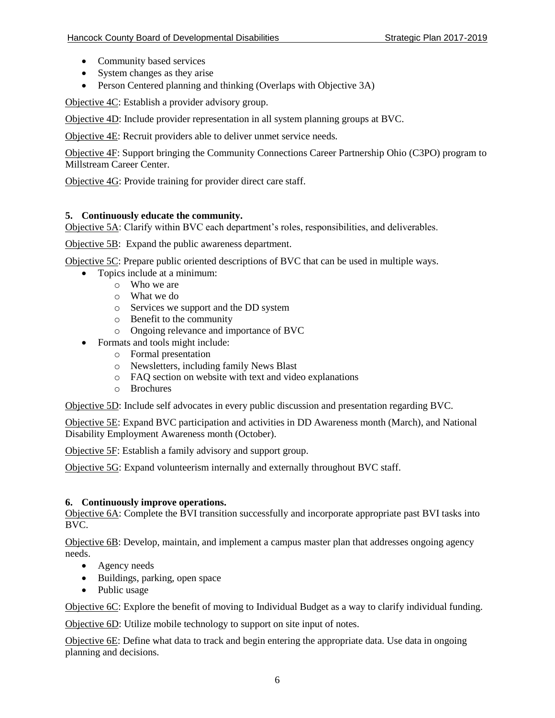- Community based services
- System changes as they arise
- Person Centered planning and thinking (Overlaps with Objective 3A)

Objective 4C: Establish a provider advisory group.

Objective 4D: Include provider representation in all system planning groups at BVC.

Objective 4E: Recruit providers able to deliver unmet service needs.

Objective 4F: Support bringing the Community Connections Career Partnership Ohio (C3PO) program to Millstream Career Center.

Objective 4G: Provide training for provider direct care staff.

#### **5. Continuously educate the community.**

Objective 5A: Clarify within BVC each department's roles, responsibilities, and deliverables.

Objective 5B: Expand the public awareness department.

Objective 5C: Prepare public oriented descriptions of BVC that can be used in multiple ways.

- Topics include at a minimum:
	- o Who we are
	- o What we do
	- o Services we support and the DD system
	- o Benefit to the community
	- o Ongoing relevance and importance of BVC
- Formats and tools might include:
	- o Formal presentation
	- o Newsletters, including family News Blast
	- o FAQ section on website with text and video explanations
	- o Brochures

Objective 5D: Include self advocates in every public discussion and presentation regarding BVC.

Objective 5E: Expand BVC participation and activities in DD Awareness month (March), and National Disability Employment Awareness month (October).

Objective 5F: Establish a family advisory and support group.

Objective 5G: Expand volunteerism internally and externally throughout BVC staff.

#### **6. Continuously improve operations.**

Objective 6A: Complete the BVI transition successfully and incorporate appropriate past BVI tasks into BVC.

Objective 6B: Develop, maintain, and implement a campus master plan that addresses ongoing agency needs.

- Agency needs
- Buildings, parking, open space
- Public usage

Objective 6C: Explore the benefit of moving to Individual Budget as a way to clarify individual funding.

Objective 6D: Utilize mobile technology to support on site input of notes.

Objective 6E: Define what data to track and begin entering the appropriate data. Use data in ongoing planning and decisions.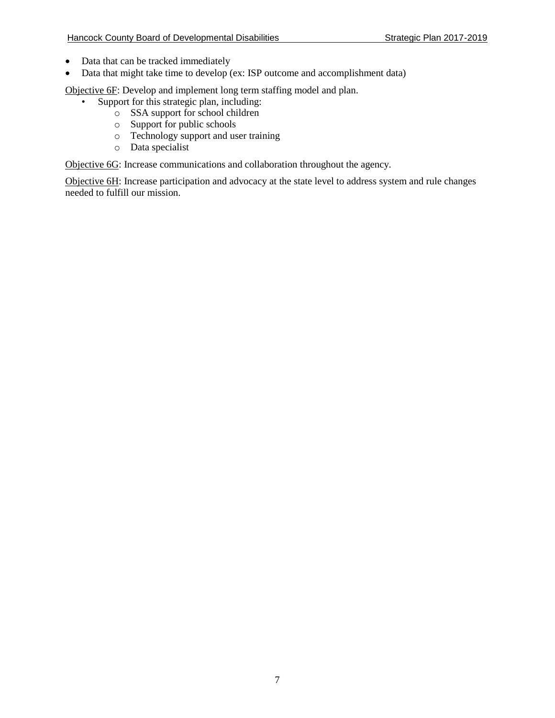- Data that can be tracked immediately
- Data that might take time to develop (ex: ISP outcome and accomplishment data)

Objective 6F: Develop and implement long term staffing model and plan.

- Support for this strategic plan, including:
	- o SSA support for school children
	- o Support for public schools
	- o Technology support and user training
	- o Data specialist

Objective 6G: Increase communications and collaboration throughout the agency.

Objective 6H: Increase participation and advocacy at the state level to address system and rule changes needed to fulfill our mission.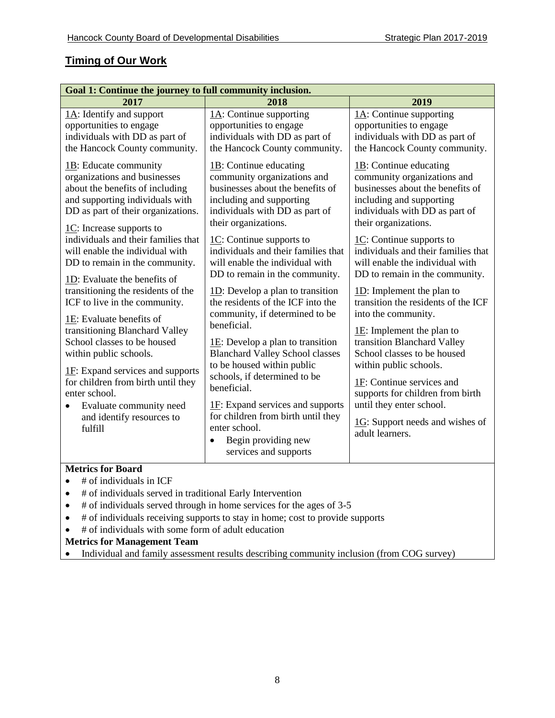# <span id="page-7-0"></span>**Timing of Our Work**

| Goal 1: Continue the journey to full community inclusion.            |                                                                                                                                                         |                                                                                |  |
|----------------------------------------------------------------------|---------------------------------------------------------------------------------------------------------------------------------------------------------|--------------------------------------------------------------------------------|--|
| 2017                                                                 | 2018                                                                                                                                                    | 2019                                                                           |  |
| $1A$ : Identify and support                                          | $1A$ : Continue supporting                                                                                                                              | $1A$ : Continue supporting                                                     |  |
| opportunities to engage                                              | opportunities to engage                                                                                                                                 | opportunities to engage                                                        |  |
| individuals with DD as part of                                       | individuals with DD as part of                                                                                                                          | individuals with DD as part of                                                 |  |
| the Hancock County community.                                        | the Hancock County community.                                                                                                                           | the Hancock County community.                                                  |  |
| 1B: Educate community                                                | $1B$ : Continue educating                                                                                                                               | $1B$ : Continue educating                                                      |  |
| organizations and businesses                                         | community organizations and                                                                                                                             | community organizations and                                                    |  |
| about the benefits of including                                      | businesses about the benefits of                                                                                                                        | businesses about the benefits of                                               |  |
| and supporting individuals with                                      | including and supporting                                                                                                                                | including and supporting                                                       |  |
| DD as part of their organizations.                                   | individuals with DD as part of                                                                                                                          | individuals with DD as part of                                                 |  |
| $1C$ : Increase supports to                                          | their organizations.                                                                                                                                    | their organizations.                                                           |  |
| individuals and their families that                                  | $\underline{1C}$ : Continue supports to                                                                                                                 | $\underline{1C}$ : Continue supports to                                        |  |
| will enable the individual with                                      | individuals and their families that                                                                                                                     | individuals and their families that                                            |  |
| DD to remain in the community.                                       | will enable the individual with                                                                                                                         | will enable the individual with                                                |  |
| 1D: Evaluate the benefits of                                         | DD to remain in the community.                                                                                                                          | DD to remain in the community.                                                 |  |
| transitioning the residents of the                                   | $1D$ : Develop a plan to transition                                                                                                                     | $1D$ : Implement the plan to                                                   |  |
| ICF to live in the community.                                        | the residents of the ICF into the                                                                                                                       | transition the residents of the ICF                                            |  |
| 1E: Evaluate benefits of                                             | community, if determined to be                                                                                                                          | into the community.                                                            |  |
| transitioning Blanchard Valley                                       | beneficial.                                                                                                                                             | $1E$ : Implement the plan to                                                   |  |
| School classes to be housed                                          | $1E$ : Develop a plan to transition                                                                                                                     | transition Blanchard Valley                                                    |  |
| within public schools.                                               | <b>Blanchard Valley School classes</b>                                                                                                                  | School classes to be housed                                                    |  |
| $1F$ : Expand services and supports                                  | to be housed within public                                                                                                                              | within public schools.                                                         |  |
| for children from birth until they                                   | schools, if determined to be                                                                                                                            | 1F: Continue services and                                                      |  |
| enter school.                                                        | beneficial.                                                                                                                                             | supports for children from birth                                               |  |
| Evaluate community need<br>٠<br>and identify resources to<br>fulfill | $1F$ : Expand services and supports<br>for children from birth until they<br>enter school.<br>Begin providing new<br>$\bullet$<br>services and supports | until they enter school.<br>1G: Support needs and wishes of<br>adult learners. |  |
| <b>Metrics for Board</b>                                             |                                                                                                                                                         |                                                                                |  |
| # of individuals in ICF                                              |                                                                                                                                                         |                                                                                |  |
| # of individuals served in traditional Early Intervention            |                                                                                                                                                         |                                                                                |  |

- # of individuals served through in home services for the ages of 3-5
- # of individuals receiving supports to stay in home; cost to provide supports
- $\bullet$  # of individuals with some form of adult education

#### **Metrics for Management Team**

• Individual and family assessment results describing community inclusion (from COG survey)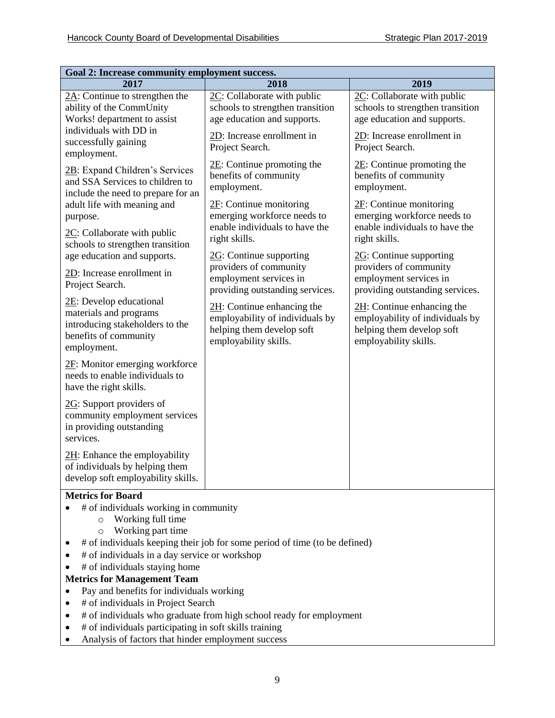| Goal 2: Increase community employment success.                                                                               |                                                                                                                        |                                                                                                                        |  |
|------------------------------------------------------------------------------------------------------------------------------|------------------------------------------------------------------------------------------------------------------------|------------------------------------------------------------------------------------------------------------------------|--|
| 2017                                                                                                                         | 2018                                                                                                                   | 2019                                                                                                                   |  |
| $2A$ : Continue to strengthen the<br>ability of the CommUnity<br>Works! department to assist                                 | 2C: Collaborate with public<br>schools to strengthen transition<br>age education and supports.                         | 2C: Collaborate with public<br>schools to strengthen transition<br>age education and supports.                         |  |
| individuals with DD in<br>successfully gaining<br>employment.                                                                | 2D: Increase enrollment in<br>Project Search.                                                                          | 2D: Increase enrollment in<br>Project Search.                                                                          |  |
| 2B: Expand Children's Services<br>and SSA Services to children to<br>include the need to prepare for an                      | $2E$ : Continue promoting the<br>benefits of community<br>employment.                                                  | $2E$ : Continue promoting the<br>benefits of community<br>employment.                                                  |  |
| adult life with meaning and<br>purpose.                                                                                      | $2F$ : Continue monitoring<br>emerging workforce needs to<br>enable individuals to have the                            | $2F$ : Continue monitoring<br>emerging workforce needs to<br>enable individuals to have the                            |  |
| $2C$ : Collaborate with public<br>schools to strengthen transition                                                           | right skills.                                                                                                          | right skills.                                                                                                          |  |
| age education and supports.<br>2D: Increase enrollment in<br>Project Search.                                                 | $2G$ : Continue supporting<br>providers of community<br>employment services in<br>providing outstanding services.      | $2G$ : Continue supporting<br>providers of community<br>employment services in<br>providing outstanding services.      |  |
| 2E: Develop educational<br>materials and programs<br>introducing stakeholders to the<br>benefits of community<br>employment. | $2H$ : Continue enhancing the<br>employability of individuals by<br>helping them develop soft<br>employability skills. | $2H$ : Continue enhancing the<br>employability of individuals by<br>helping them develop soft<br>employability skills. |  |
| 2F: Monitor emerging workforce<br>needs to enable individuals to<br>have the right skills.                                   |                                                                                                                        |                                                                                                                        |  |
| $2G$ : Support providers of<br>community employment services<br>in providing outstanding<br>services.                        |                                                                                                                        |                                                                                                                        |  |
| $2H$ : Enhance the employability<br>of individuals by helping them<br>develop soft employability skills.                     |                                                                                                                        |                                                                                                                        |  |

#### **Metrics for Board**

- $\bullet$  # of individuals working in community
	- o Working full time
	- o Working part time
- # of individuals keeping their job for some period of time (to be defined)
- $\bullet$  # of individuals in a day service or workshop
- $\bullet$  # of individuals staying home
- **Metrics for Management Team**
- Pay and benefits for individuals working
- # of individuals in Project Search
- # of individuals who graduate from high school ready for employment
- # of individuals participating in soft skills training
- Analysis of factors that hinder employment success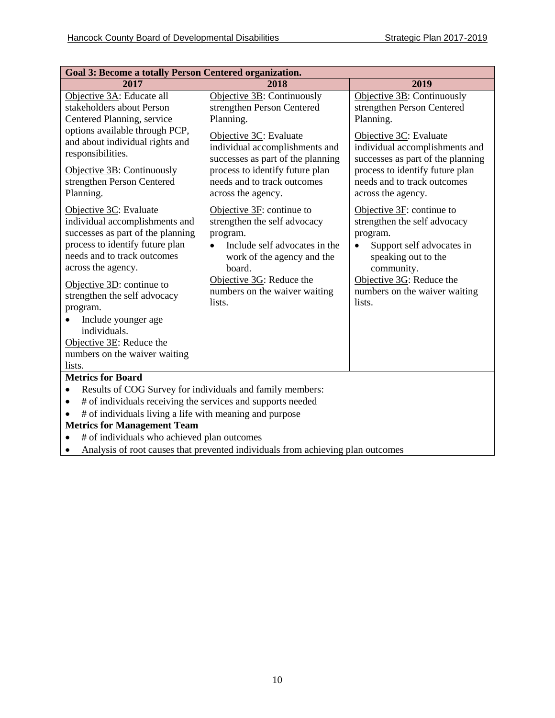| <b>Goal 3: Become a totally Person Centered organization.</b>                                                                                                                                                                                                                                                                                                                                                                                                                                                                                                                                                                                 |                                                                                                                                                                                                                                                                                                                                                                                                                                                                                                            |                                                                                                                                                                                                                                                                                                                                                                                                                                                                                                     |
|-----------------------------------------------------------------------------------------------------------------------------------------------------------------------------------------------------------------------------------------------------------------------------------------------------------------------------------------------------------------------------------------------------------------------------------------------------------------------------------------------------------------------------------------------------------------------------------------------------------------------------------------------|------------------------------------------------------------------------------------------------------------------------------------------------------------------------------------------------------------------------------------------------------------------------------------------------------------------------------------------------------------------------------------------------------------------------------------------------------------------------------------------------------------|-----------------------------------------------------------------------------------------------------------------------------------------------------------------------------------------------------------------------------------------------------------------------------------------------------------------------------------------------------------------------------------------------------------------------------------------------------------------------------------------------------|
| 2017                                                                                                                                                                                                                                                                                                                                                                                                                                                                                                                                                                                                                                          | 2018                                                                                                                                                                                                                                                                                                                                                                                                                                                                                                       | 2019                                                                                                                                                                                                                                                                                                                                                                                                                                                                                                |
| Objective 3A: Educate all<br>stakeholders about Person<br>Centered Planning, service<br>options available through PCP,<br>and about individual rights and<br>responsibilities.<br>Objective 3B: Continuously<br>strengthen Person Centered<br>Planning.<br>Objective 3C: Evaluate<br>individual accomplishments and<br>successes as part of the planning<br>process to identify future plan<br>needs and to track outcomes<br>across the agency.<br>Objective $3D$ : continue to<br>strengthen the self advocacy<br>program.<br>Include younger age<br>$\bullet$<br>individuals.<br>Objective 3E: Reduce the<br>numbers on the waiver waiting | Objective 3B: Continuously<br>strengthen Person Centered<br>Planning.<br>Objective 3C: Evaluate<br>individual accomplishments and<br>successes as part of the planning<br>process to identify future plan<br>needs and to track outcomes<br>across the agency.<br>Objective $3F$ : continue to<br>strengthen the self advocacy<br>program.<br>Include self advocates in the<br>$\bullet$<br>work of the agency and the<br>board.<br>Objective $3G$ : Reduce the<br>numbers on the waiver waiting<br>lists. | Objective 3B: Continuously<br>strengthen Person Centered<br>Planning.<br>Objective 3C: Evaluate<br>individual accomplishments and<br>successes as part of the planning<br>process to identify future plan<br>needs and to track outcomes<br>across the agency.<br>Objective $3F$ : continue to<br>strengthen the self advocacy<br>program.<br>Support self advocates in<br>$\bullet$<br>speaking out to the<br>community.<br>Objective $3G$ : Reduce the<br>numbers on the waiver waiting<br>lists. |
| lists.                                                                                                                                                                                                                                                                                                                                                                                                                                                                                                                                                                                                                                        |                                                                                                                                                                                                                                                                                                                                                                                                                                                                                                            |                                                                                                                                                                                                                                                                                                                                                                                                                                                                                                     |
| <b>Metrics for Board</b>                                                                                                                                                                                                                                                                                                                                                                                                                                                                                                                                                                                                                      |                                                                                                                                                                                                                                                                                                                                                                                                                                                                                                            |                                                                                                                                                                                                                                                                                                                                                                                                                                                                                                     |
| Results of COG Survey for individuals and family members:<br>$\bullet$                                                                                                                                                                                                                                                                                                                                                                                                                                                                                                                                                                        |                                                                                                                                                                                                                                                                                                                                                                                                                                                                                                            |                                                                                                                                                                                                                                                                                                                                                                                                                                                                                                     |
| # of individuals receiving the services and supports needed<br>$\bullet$                                                                                                                                                                                                                                                                                                                                                                                                                                                                                                                                                                      |                                                                                                                                                                                                                                                                                                                                                                                                                                                                                                            |                                                                                                                                                                                                                                                                                                                                                                                                                                                                                                     |
| # of individuals living a life with meaning and purpose<br>$\bullet$                                                                                                                                                                                                                                                                                                                                                                                                                                                                                                                                                                          |                                                                                                                                                                                                                                                                                                                                                                                                                                                                                                            |                                                                                                                                                                                                                                                                                                                                                                                                                                                                                                     |
| <b>Metrics for Management Team</b>                                                                                                                                                                                                                                                                                                                                                                                                                                                                                                                                                                                                            |                                                                                                                                                                                                                                                                                                                                                                                                                                                                                                            |                                                                                                                                                                                                                                                                                                                                                                                                                                                                                                     |
| # of individuals who achieved plan outcomes<br>$\bullet$                                                                                                                                                                                                                                                                                                                                                                                                                                                                                                                                                                                      |                                                                                                                                                                                                                                                                                                                                                                                                                                                                                                            |                                                                                                                                                                                                                                                                                                                                                                                                                                                                                                     |
| Analysis of root causes that prevented individuals from achieving plan outcomes<br>$\bullet$                                                                                                                                                                                                                                                                                                                                                                                                                                                                                                                                                  |                                                                                                                                                                                                                                                                                                                                                                                                                                                                                                            |                                                                                                                                                                                                                                                                                                                                                                                                                                                                                                     |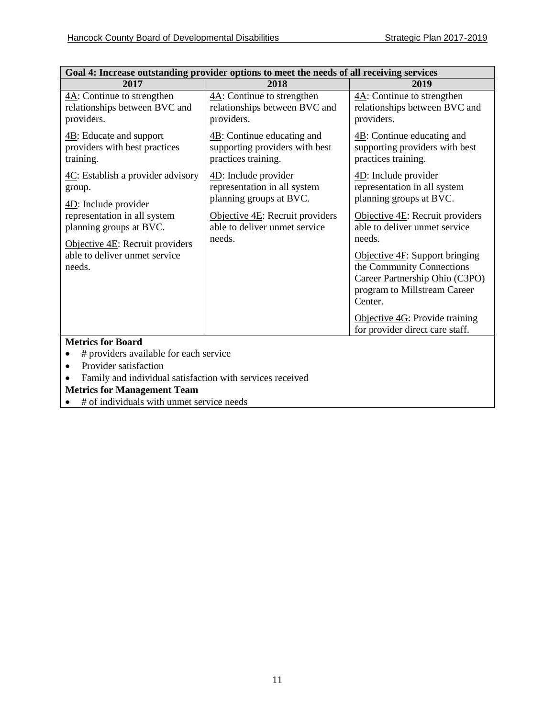Ī.

 $\mathbf{r}$ 

| Goal 4: Increase outstanding provider options to meet the needs of all receiving services                             |                                                                                                    |                                                                                                                                             |
|-----------------------------------------------------------------------------------------------------------------------|----------------------------------------------------------------------------------------------------|---------------------------------------------------------------------------------------------------------------------------------------------|
| 2017                                                                                                                  | 2018                                                                                               | 2019                                                                                                                                        |
| $4A$ : Continue to strengthen<br>relationships between BVC and<br>providers.                                          | $4A$ : Continue to strengthen<br>relationships between BVC and<br>providers.                       | $4A$ : Continue to strengthen<br>relationships between BVC and<br>providers.                                                                |
| $4B$ : Educate and support<br>providers with best practices<br>training.                                              | $\underline{AB}$ : Continue educating and<br>supporting providers with best<br>practices training. | $\overline{AB}$ : Continue educating and<br>supporting providers with best<br>practices training.                                           |
| 4C: Establish a provider advisory<br>group.                                                                           | $4D$ : Include provider<br>representation in all system<br>planning groups at BVC.                 | $\underline{4D}$ : Include provider<br>representation in all system<br>planning groups at BVC.                                              |
| 4D: Include provider<br>representation in all system<br>planning groups at BVC.<br>Objective $4E$ : Recruit providers | Objective $4E$ : Recruit providers<br>able to deliver unmet service<br>needs.                      | Objective $4E$ : Recruit providers<br>able to deliver unmet service<br>needs.                                                               |
| able to deliver unmet service<br>needs.                                                                               |                                                                                                    | Objective $4F$ : Support bringing<br>the Community Connections<br>Career Partnership Ohio (C3PO)<br>program to Millstream Career<br>Center. |
|                                                                                                                       |                                                                                                    | Objective 4G: Provide training<br>for provider direct care staff.                                                                           |
| <b>Metrics for Board</b>                                                                                              |                                                                                                    |                                                                                                                                             |
| # providers available for each service                                                                                |                                                                                                    |                                                                                                                                             |
| Provider satisfaction                                                                                                 |                                                                                                    |                                                                                                                                             |
| Family and individual satisfaction with services received                                                             |                                                                                                    |                                                                                                                                             |
| <b>Metrics for Management Team</b>                                                                                    |                                                                                                    |                                                                                                                                             |

 $\bullet$  # of individuals with unmet service needs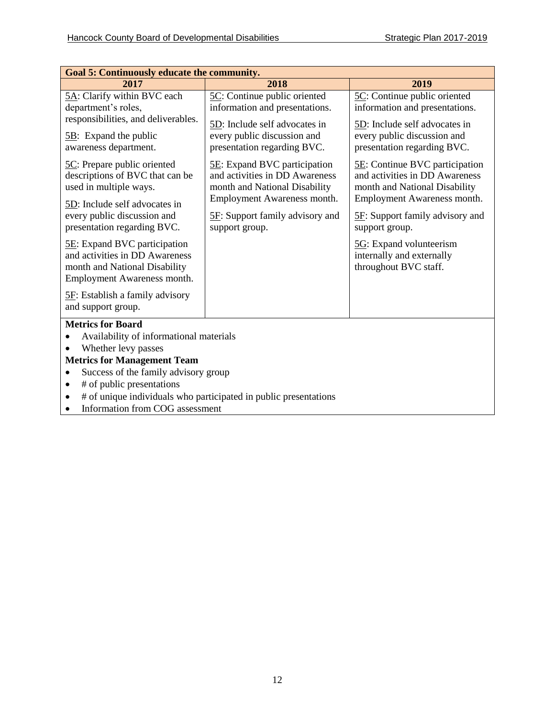| <b>Goal 5: Continuously educate the community.</b>                                                                                                                                                 |                                                                                                 |                                                                                                   |  |
|----------------------------------------------------------------------------------------------------------------------------------------------------------------------------------------------------|-------------------------------------------------------------------------------------------------|---------------------------------------------------------------------------------------------------|--|
| 2017                                                                                                                                                                                               | 2018                                                                                            | 2019                                                                                              |  |
| 5A: Clarify within BVC each<br>department's roles,                                                                                                                                                 | 5C: Continue public oriented<br>information and presentations.                                  | 5C: Continue public oriented<br>information and presentations.                                    |  |
| responsibilities, and deliverables.<br>$5B$ : Expand the public<br>awareness department.                                                                                                           | 5D: Include self advocates in<br>every public discussion and<br>presentation regarding BVC.     | 5D: Include self advocates in<br>every public discussion and<br>presentation regarding BVC.       |  |
| 5C: Prepare public oriented<br>descriptions of BVC that can be<br>used in multiple ways.                                                                                                           | 5E: Expand BVC participation<br>and activities in DD Awareness<br>month and National Disability | 5E: Continue BVC participation<br>and activities in DD Awareness<br>month and National Disability |  |
| 5D: Include self advocates in<br>every public discussion and<br>presentation regarding BVC.                                                                                                        | Employment Awareness month.<br>5F: Support family advisory and<br>support group.                | Employment Awareness month.<br>5F: Support family advisory and<br>support group.                  |  |
| <b>5E:</b> Expand BVC participation<br>and activities in DD Awareness<br>month and National Disability<br>Employment Awareness month.                                                              |                                                                                                 | 5G: Expand volunteerism<br>internally and externally<br>throughout BVC staff.                     |  |
| <b>5F:</b> Establish a family advisory<br>and support group.                                                                                                                                       |                                                                                                 |                                                                                                   |  |
| <b>Metrics for Board</b><br>Availability of informational materials<br>Whether levy passes<br>$\bullet$<br><b>Metrics for Management Team</b><br>Success of the family advisory group<br>$\bullet$ |                                                                                                 |                                                                                                   |  |
| # of public presentations<br>$\bullet$<br># of unique individuals who participated in public presentations<br>٠<br>Information from COG assessment<br>$\bullet$                                    |                                                                                                 |                                                                                                   |  |